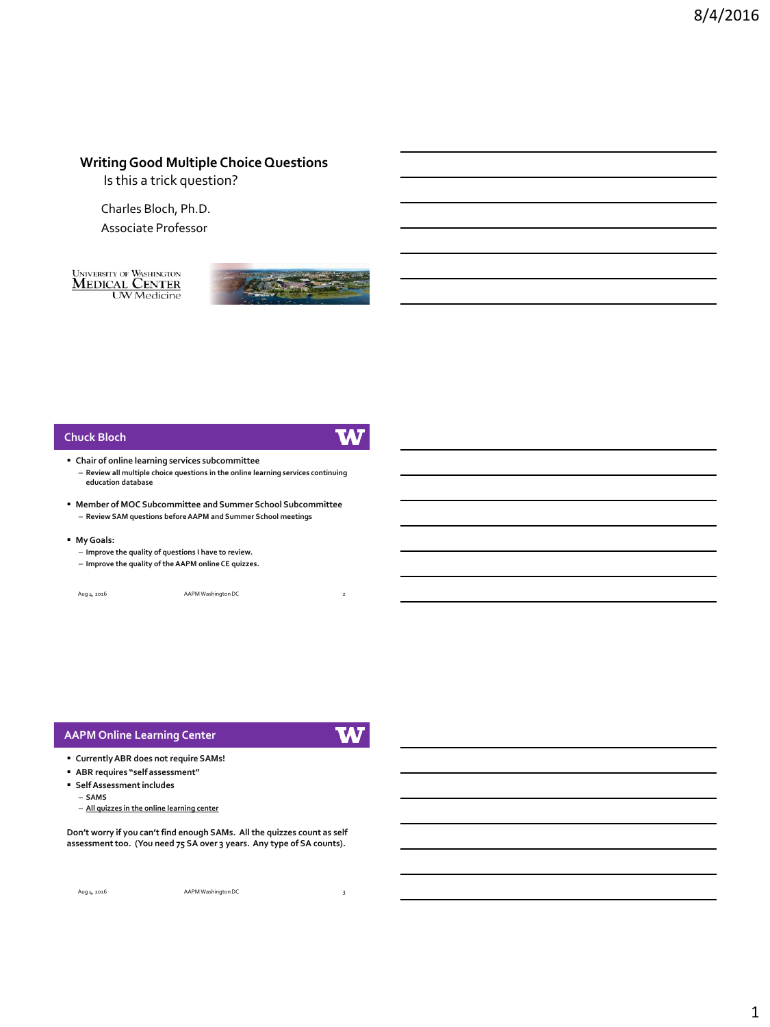# **Writing Good Multiple Choice Questions**

Is this a trick question?

Charles Bloch, Ph.D.

Associate Professor

**UNIVERSITY OF WASHINGTON** MEDICAL CENTER<br>UW Medicine



#### **Chuck Bloch**



- **Chair of online learning services subcommittee**
	- **Review all multiple choice questions in the online learning services continuing education database**
- **Member of MOC Subcommittee and Summer School Subcommittee** – **Review SAM questions before AAPM and Summer School meetings**
- **My Goals:**
	- **Improve the quality of questions I have to review.**
	- **Improve the quality of the AAPM online CE quizzes.**

| Aug 4, 2016 | AAPM Washington DC |  |
|-------------|--------------------|--|
|             |                    |  |

### **AAPM Online Learning Center**

**TA7** 

- **Currently ABR does not require SAMs!**
- **ABR requires "self assessment"**
- **Self Assessment includes**
	- **SAMS**
	- **All quizzes in the online learning center**

**Don't worry if you can't find enough SAMs. All the quizzes count as self assessment too. (You need 75 SA over 3 years. Any type of SA counts).**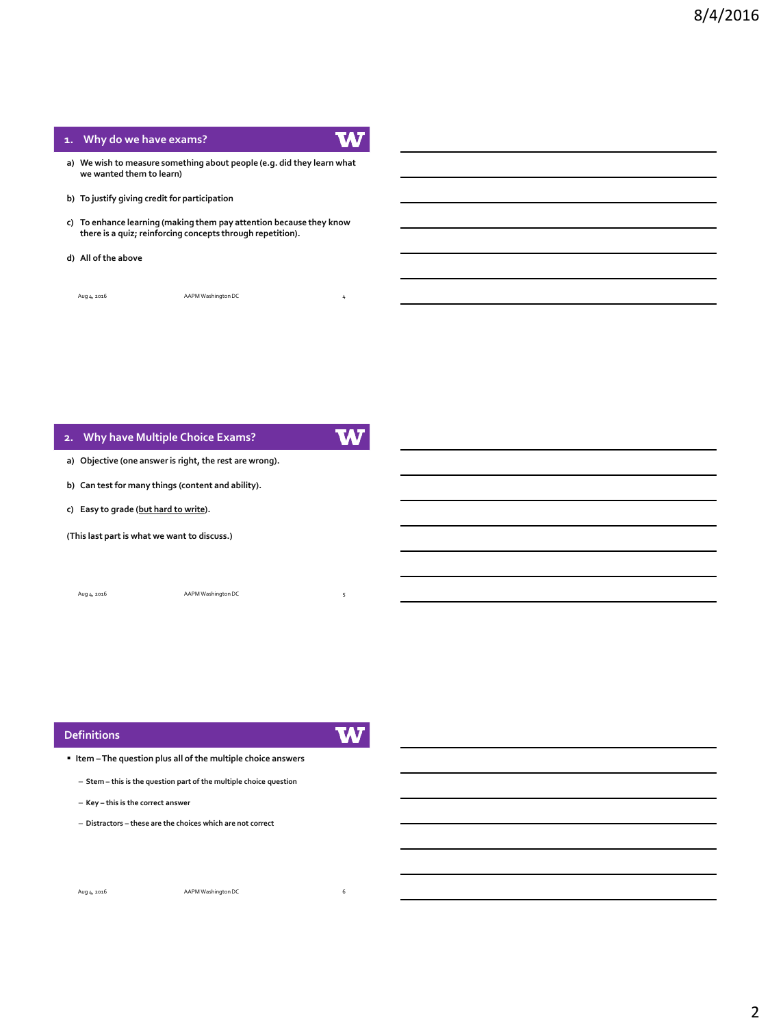### **1. Why do we have exams?**

- **a) We wish to measure something about people (e.g. did they learn what we wanted them to learn)**
- **b) To justify giving credit for participation**
- **c) To enhance learning (making them pay attention because they know there is a quiz; reinforcing concepts through repetition).**
- **d) All of the above**

Aug 4, 2016 **AAPM Washington DC** 

# W **2. Why have Multiple Choice Exams? a) Objective (one answer is right, the rest are wrong). b) Can test for many things (content and ability). c) Easy to grade (but hard to write).**

**(This last part is what we want to discuss.)**

Aug 4, 2016 AAPM Washington DC 5

#### **Definitions**

|                                                |                                                | ٠<br>٠ |  |
|------------------------------------------------|------------------------------------------------|--------|--|
| <b>Service Service Service Service Service</b> | <b>Service Service Service Service Service</b> |        |  |

**Item –The question plus all of the multiple choice answers**

- **Stem – this is the question part of the multiple choice question**
- **Key – this is the correct answer**
- **Distractors – these are the choices which are not correct**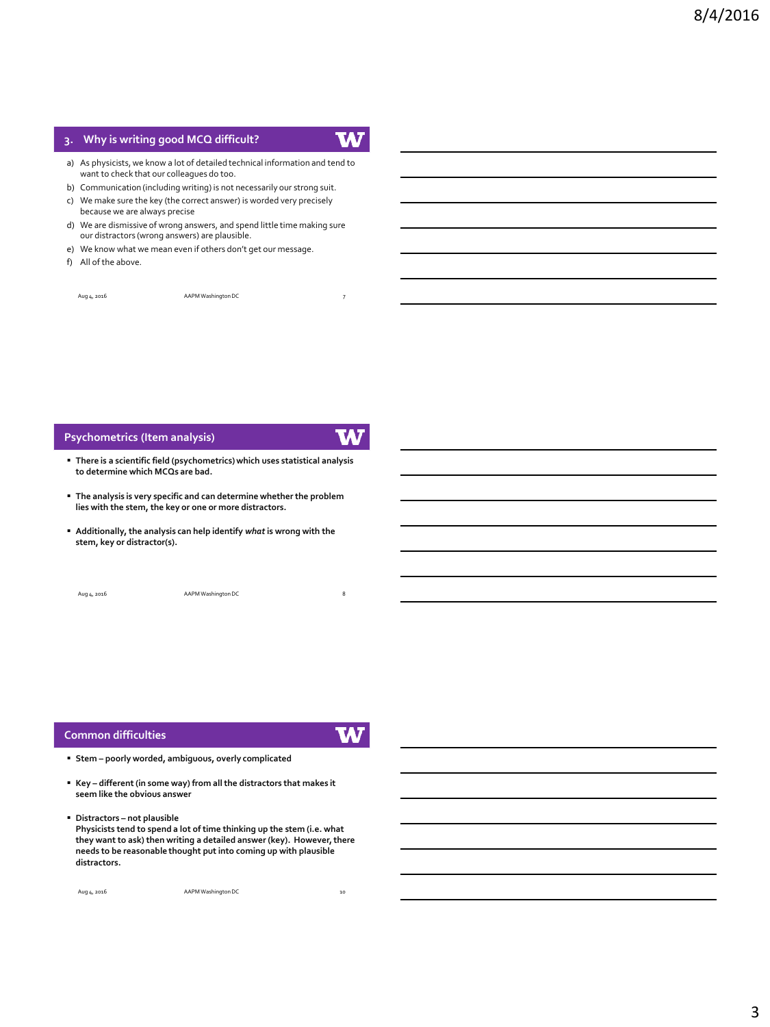# **3. Why is writing good MCQ difficult?**



- a) As physicists, we know a lot of detailed technical information and tend to want to check that our colleagues do too.
- b) Communication (including writing) is not necessarily our strong suit. c) We make sure the key (the correct answer) is worded very precisely because we are always precise
- d) We are dismissive of wrong answers, and spend little time making sure our distractors (wrong answers) are plausible.
- e) We know what we mean even if others don't get our message.
- f) All of the above.

Aug 4, 2016 **AAPM Washington DC** 

#### **Psychometrics (Item analysis)**



- **There is a scientific field (psychometrics) which uses statistical analysis to determine which MCQs are bad.**
- **The analysis is very specific and can determine whether the problem lies with the stem, the key or one or more distractors.**
- **Additionally, the analysis can help identify** *what* **is wrong with the stem, key or distractor(s).**

| Aug 4, 2016 | AAPM Washington DC |  |
|-------------|--------------------|--|
|             |                    |  |

#### **Common difficulties**

W

- **Stem – poorly worded, ambiguous, overly complicated**
- **Key – different (in some way) from all the distractors that makes it seem like the obvious answer**
- **Distractors – not plausible Physicists tend to spend a lot of time thinking up the stem (i.e. what they want to ask) then writing a detailed answer (key). However, there needs to be reasonable thought put into coming up with plausible distractors.**

| Aug 4, 2016 | AAPM Washington DC | 10 |
|-------------|--------------------|----|
|             |                    |    |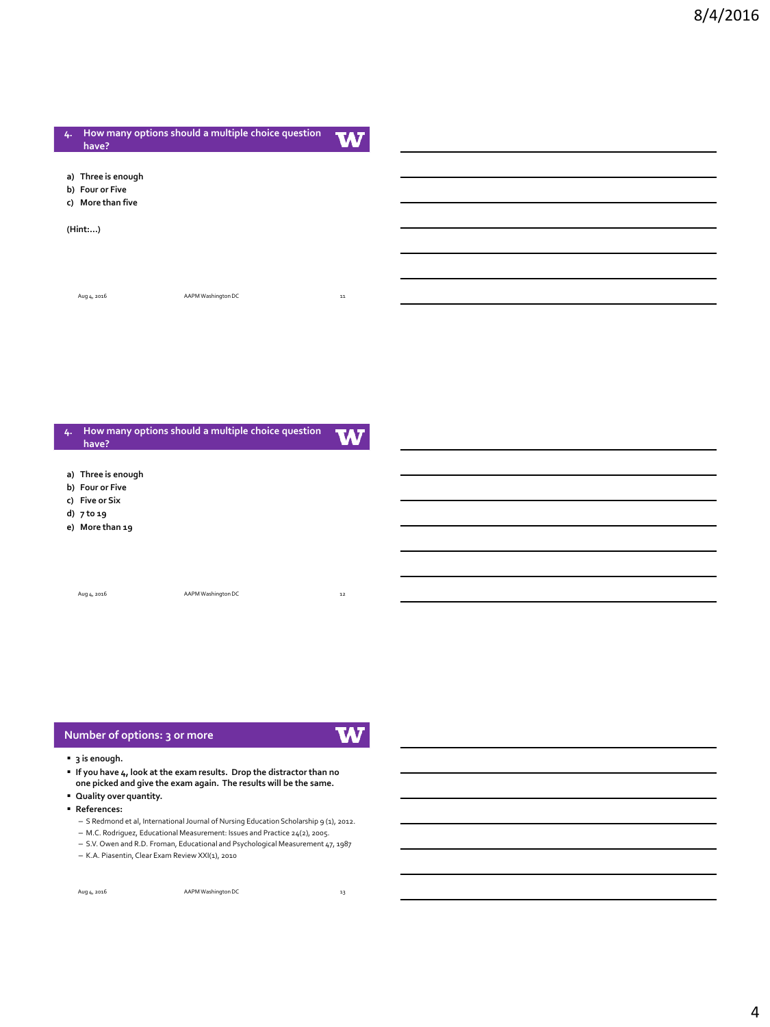| 4. | have?                                                      | How many options should a multiple choice question | W          |
|----|------------------------------------------------------------|----------------------------------------------------|------------|
|    | a) Three is enough<br>b) Four or Five<br>c) More than five |                                                    |            |
|    | (Hint:)                                                    |                                                    |            |
|    |                                                            |                                                    |            |
|    | Aug 4, 2016                                                | AAPM Washington DC                                 | ${\bf 11}$ |
|    |                                                            |                                                    |            |
|    |                                                            |                                                    |            |
|    |                                                            |                                                    |            |

| 4. | How many options should a multiple choice question<br>have? | W                  |    |
|----|-------------------------------------------------------------|--------------------|----|
|    |                                                             |                    |    |
|    | a) Three is enough                                          |                    |    |
|    | b) Four or Five                                             |                    |    |
|    | c) Five or Six                                              |                    |    |
|    | d) $7 to 19$                                                |                    |    |
|    | e) More than 19                                             |                    |    |
|    |                                                             |                    |    |
|    |                                                             |                    |    |
|    |                                                             |                    |    |
|    |                                                             |                    |    |
|    | Aug 4, 2016                                                 | AAPM Washington DC | 12 |
|    |                                                             |                    |    |
|    |                                                             |                    |    |
|    |                                                             |                    |    |

# **Number of options: 3 or more**

**W** 

#### **3 is enough.**

 **If you have 4, look at the exam results. Drop the distractor than no one picked and give the exam again. The results will be the same.**

- **Quality over quantity.**
- **References:**
	- S Redmond et al, International Journal of Nursing Education Scholarship 9 (1), 2012.

– M.C. Rodriguez, Educational Measurement: Issues and Practice 24(2), 2005. – S.V. Owen and R.D. Froman, Educational and Psychological Measurement 47, 1987

– K.A. Piasentin, Clear Exam Review XXI(1), 2010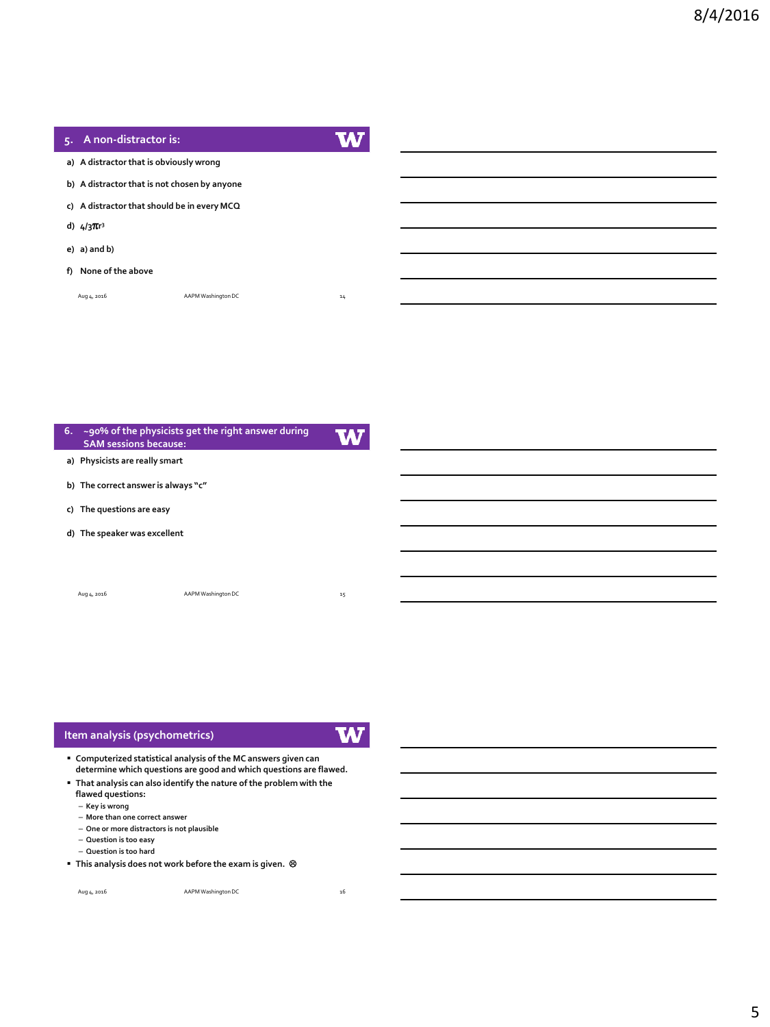$\overline{\phantom{0}}$ 

| 5. A non-distractor is:                      |                    |    |
|----------------------------------------------|--------------------|----|
| a) A distractor that is obviously wrong      |                    |    |
| b) A distractor that is not chosen by anyone |                    |    |
| c) A distractor that should be in every MCQ  |                    |    |
| d) $4/3\pi r^3$                              |                    |    |
| $e)$ a) and b)                               |                    |    |
| f) None of the above                         |                    |    |
| Aug 4, 2016                                  | AAPM Washington DC | 14 |
|                                              |                    |    |

| 6. | <b>SAM sessions because:</b>        | ~90% of the physicists get the right answer during |    |
|----|-------------------------------------|----------------------------------------------------|----|
|    | a) Physicists are really smart      |                                                    |    |
|    | b) The correct answer is always "c" |                                                    |    |
|    | c) The questions are easy           |                                                    |    |
|    | d) The speaker was excellent        |                                                    |    |
|    |                                     |                                                    |    |
|    | Aug 4, 2016                         | AAPM Washington DC                                 | 15 |

| Item analysis (psychometrics)                                                                                                       |  |
|-------------------------------------------------------------------------------------------------------------------------------------|--|
| Computerized statistical analysis of the MC answers given can<br>determine which questions are good and which questions are flawed. |  |
| . That analysis can also identify the nature of the problem with the<br>flawed questions:                                           |  |
| - Key is wrong<br>- More than one correct answer                                                                                    |  |

- **More than one correct answer One or more distractors is not plausible**
- **Question is too easy**
- **Question is too hard**
- **This analysis does not work before the exam is given.**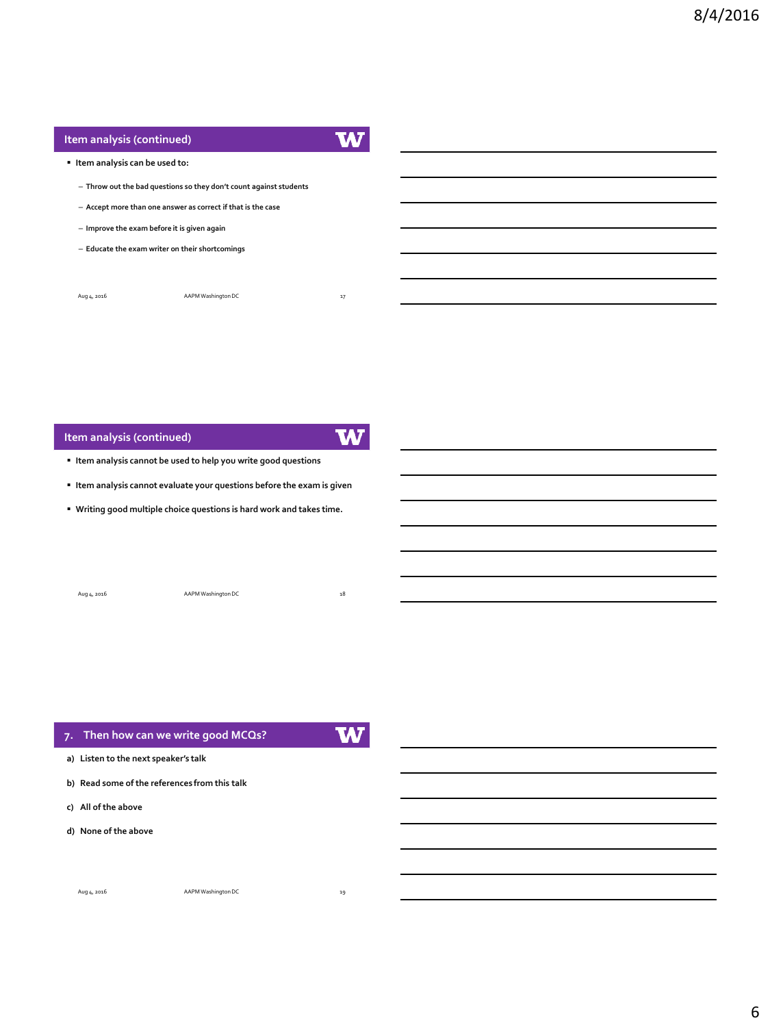# **Item analysis (continued)**

W

### **Item analysis can be used to:**

- **Throw out the bad questions so they don't count against students**
- **Accept more than one answer as correct if that is the case**
- **Improve the exam before it is given again**
- **Educate the exam writer on their shortcomings**

| Aug 4, 2016 | AAPM Washington DC | 17 |
|-------------|--------------------|----|
|             |                    |    |

### **Item analysis (continued)**

W

- **Item analysis cannot be used to help you write good questions**
- **Item analysis cannot evaluate your questions before the exam is given**
- **Writing good multiple choice questions is hard work and takes time.**

| Aug 4, 2016 | AAPM Washington DC | 18 |
|-------------|--------------------|----|
|             |                    |    |

| 7. Then how can we write good MCQs?           |  |
|-----------------------------------------------|--|
| a) Listen to the next speaker's talk          |  |
| b) Read some of the references from this talk |  |
| c) All of the above                           |  |
| d) None of the above                          |  |
|                                               |  |